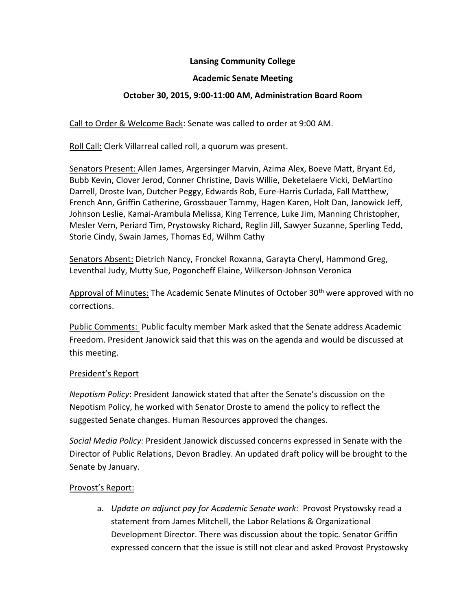# **Lansing Community College**

#### **Academic Senate Meeting**

# **October 30, 2015, 9:00-11:00 AM, Administration Board Room**

Call to Order & Welcome Back: Senate was called to order at 9:00 AM.

Roll Call: Clerk Villarreal called roll, a quorum was present.

Senators Present: Allen James, Argersinger Marvin, Azima Alex, Boeve Matt, Bryant Ed, Bubb Kevin, Clover Jerod, Conner Christine, Davis Willie, Deketelaere Vicki, DeMartino Darrell, Droste Ivan, Dutcher Peggy, Edwards Rob, Eure-Harris Curlada, Fall Matthew, French Ann, Griffin Catherine, Grossbauer Tammy, Hagen Karen, Holt Dan, Janowick Jeff, Johnson Leslie, Kamai-Arambula Melissa, King Terrence, Luke Jim, Manning Christopher, Mesler Vern, Periard Tim, Prystowsky Richard, Reglin Jill, Sawyer Suzanne, Sperling Tedd, Storie Cindy, Swain James, Thomas Ed, Wilhm Cathy

Senators Absent: Dietrich Nancy, Fronckel Roxanna, Garayta Cheryl, Hammond Greg, Leventhal Judy, Mutty Sue, Pogoncheff Elaine, Wilkerson-Johnson Veronica

Approval of Minutes: The Academic Senate Minutes of October 30<sup>th</sup> were approved with no corrections.

Public Comments: Public faculty member Mark asked that the Senate address Academic Freedom. President Janowick said that this was on the agenda and would be discussed at this meeting.

#### President's Report

*Nepotism Policy*: President Janowick stated that after the Senate's discussion on the Nepotism Policy, he worked with Senator Droste to amend the policy to reflect the suggested Senate changes. Human Resources approved the changes.

*Social Media Policy:* President Janowick discussed concerns expressed in Senate with the Director of Public Relations, Devon Bradley. An updated draft policy will be brought to the Senate by January.

# Provost's Report:

a. *Update on adjunct pay for Academic Senate work:* Provost Prystowsky read a statement from James Mitchell, the Labor Relations & Organizational Development Director. There was discussion about the topic. Senator Griffin expressed concern that the issue is still not clear and asked Provost Prystowsky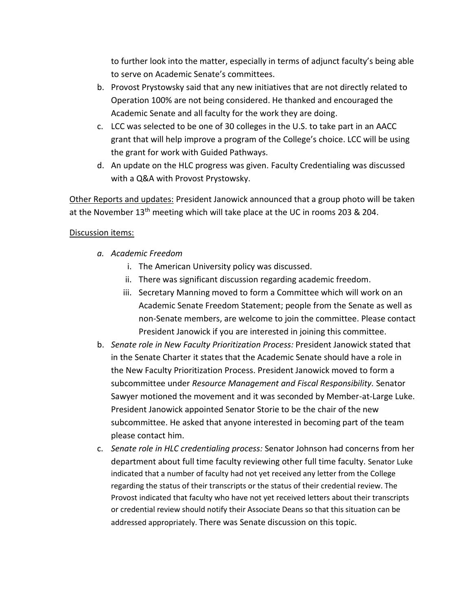to further look into the matter, especially in terms of adjunct faculty's being able to serve on Academic Senate's committees.

- b. Provost Prystowsky said that any new initiatives that are not directly related to Operation 100% are not being considered. He thanked and encouraged the Academic Senate and all faculty for the work they are doing.
- c. LCC was selected to be one of 30 colleges in the U.S. to take part in an AACC grant that will help improve a program of the College's choice. LCC will be using the grant for work with Guided Pathways.
- d. An update on the HLC progress was given. Faculty Credentialing was discussed with a Q&A with Provost Prystowsky.

Other Reports and updates: President Janowick announced that a group photo will be taken at the November 13<sup>th</sup> meeting which will take place at the UC in rooms 203 & 204.

# Discussion items:

- *a. Academic Freedom*
	- i. The American University policy was discussed.
	- ii. There was significant discussion regarding academic freedom.
	- iii. Secretary Manning moved to form a Committee which will work on an Academic Senate Freedom Statement; people from the Senate as well as non-Senate members, are welcome to join the committee. Please contact President Janowick if you are interested in joining this committee.
- b. *Senate role in New Faculty Prioritization Process:* President Janowick stated that in the Senate Charter it states that the Academic Senate should have a role in the New Faculty Prioritization Process. President Janowick moved to form a subcommittee under *Resource Management and Fiscal Responsibility.* Senator Sawyer motioned the movement and it was seconded by Member-at-Large Luke. President Janowick appointed Senator Storie to be the chair of the new subcommittee. He asked that anyone interested in becoming part of the team please contact him.
- c. *Senate role in HLC credentialing process:* Senator Johnson had concerns from her department about full time faculty reviewing other full time faculty. Senator Luke indicated that a number of faculty had not yet received any letter from the College regarding the status of their transcripts or the status of their credential review. The Provost indicated that faculty who have not yet received letters about their transcripts or credential review should notify their Associate Deans so that this situation can be addressed appropriately. There was Senate discussion on this topic.